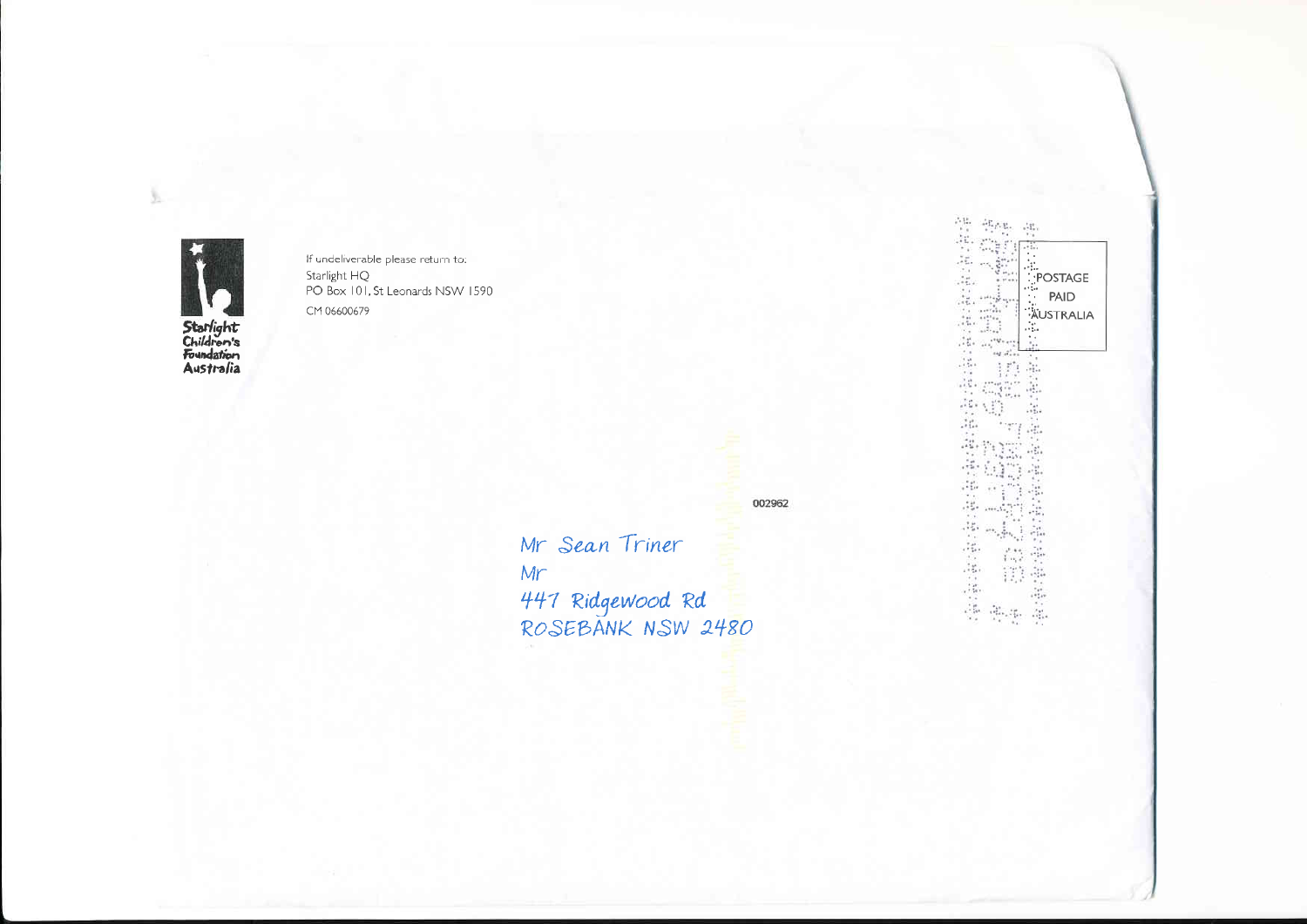

ÿ,

If undeliverable please return to: Starlight HQ<br>PO Box 101, St Leonards NSW 1590 CM 06600679

002962

Mr Sean Triner  $Mr$ 447 Ridgewood Rd<br>ROSEBANK NSW 2480

性能 望春.  $\frac{1}{2} \sum_{i=1}^n$ POSTAGE PAID **AUSTRALIA**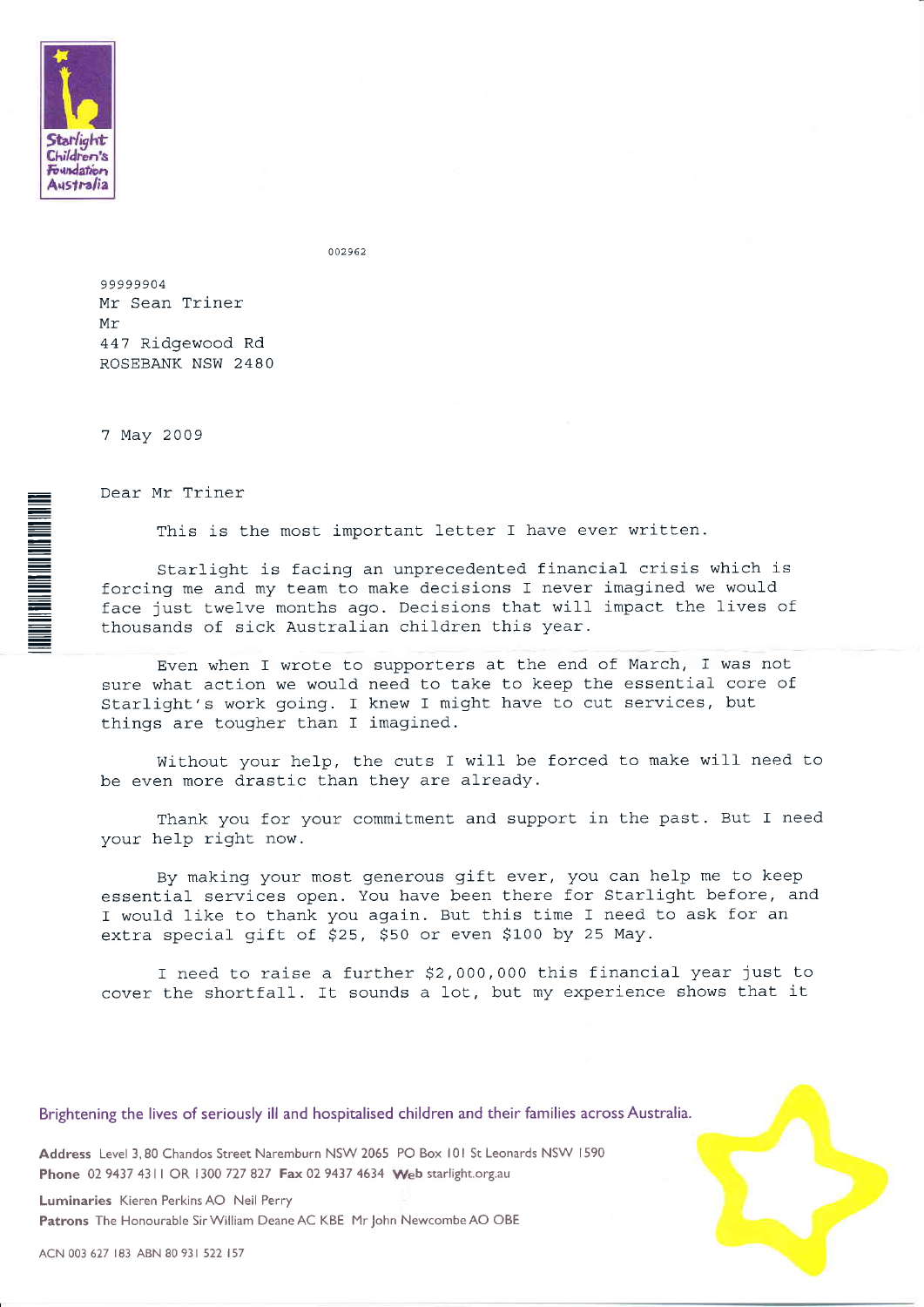

**THE REAL PROPERTY AND STATE OF STATES.** 

 $002962$ 

99999904 Mr Sean Triner Mr 447 Ridgewood Rd ROSEBANK NSW 2480

7 May 2009

Dear Mr Triner

This is the most important letter I have ever written.

Starlight is facing an unprecedented financial crisis which is forcing me and my team to make decisions I never imagined we would face just twelve months ago. Decisions that will impact the lives of thousands of sick Australian children this year.

Even when I wrote to supporters at the end of March, f was not sure what action we would need to take to keep the essential core of Starlight's work going. I knew I might have to cut services, but things are tougher than I imagined.

Without your help, the cuts I will be forced to make will need to be even more drastic than they are already.

Thank you for your commitment and support in the past. But I need your help right now.

By making your most generous gift ever, you can help me to keep essential services open. You have been there for Starlight before, and I would like to thank you again. But this time I need to ask for an extra special gift of \$25, \$50 or even \$100 by 25 May.

I need to raise a further \$2,000,000 this financial year just to cover the shortfall. It sounds a lot, but my experience shows that it

Brightening the lives of seriously ill and hospitalised children and their families across Australia.

Address Level 3, 80 Chandos Street Naremburn NSW 2065 PO Box 101 St Leonards NSW 1590 Phone 02 9437 4311 OR 1300 727 827 Fax 02 9437 4634 Web starlight.org.au

Luminaries Kieren Perkins AO Neil Perry Patrons The Honourable Sir William Deane AC KBE Mr John Newcombe AO OBE

ACN 003 627 183 ABN 80 931 522 157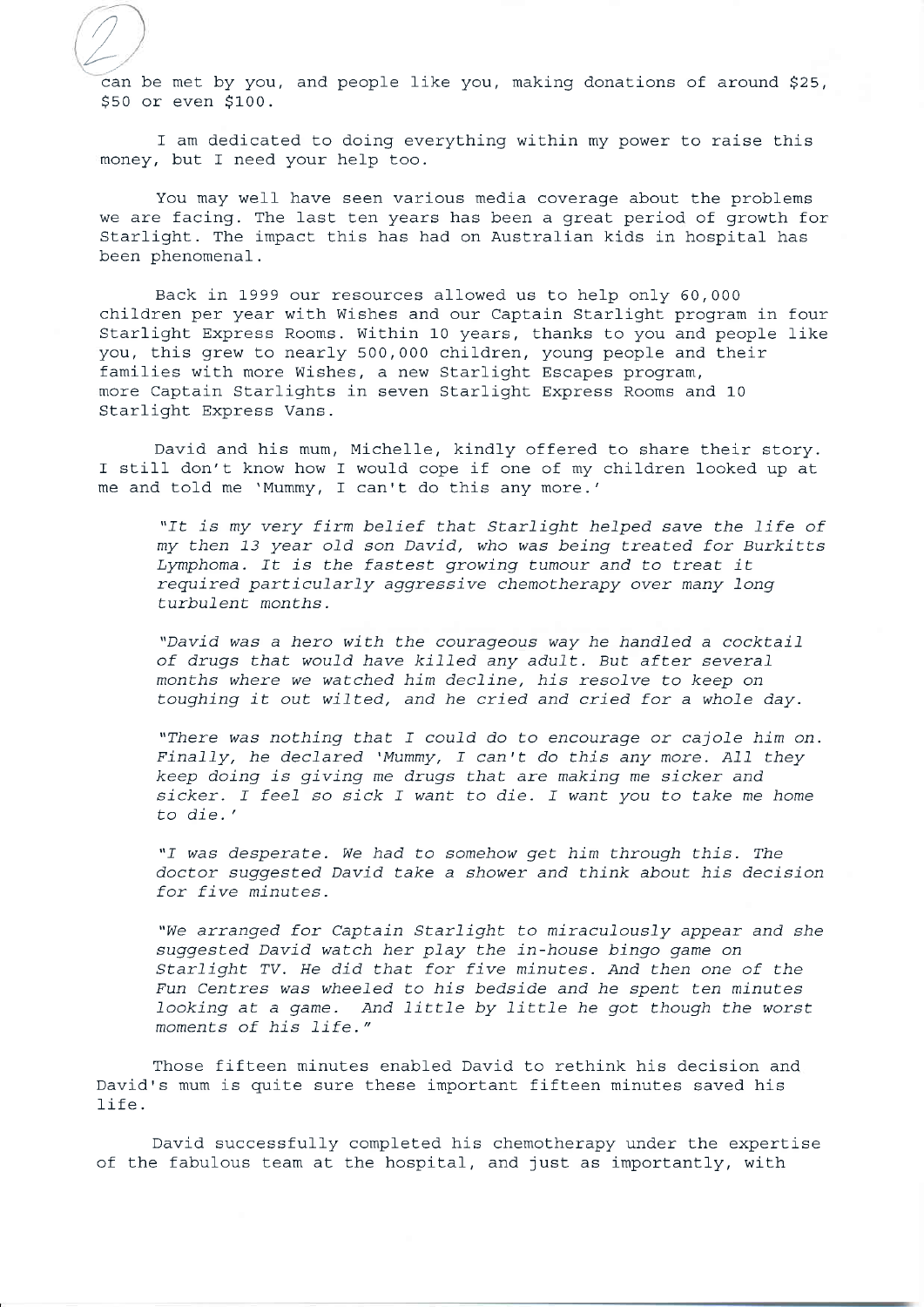Lcan be met by you, and people like you, making donations of around \$25, \$s0 or even \$100.

//

I am dedicated to doing everything within my power to raise this money, but I need your help too.

You may well have seen various media coverage about the problems we are facing. The last ten years has been a great period of growth for Starlight. The impact this has had on Australian kids in hospital has been phenomenal.

Back in 1999 our resources allowed us to help only 60,000 children per year with Wishes and our Captain Starlight program in four Starlight Express Rooms. Within 10 years, thanks to you and people like you, this grew to nearly 500,000 children, young people and their families with more Wishes, a new Starlight Escapes program, more Captain Starlights in seven Starlight Express Rooms and <sup>10</sup> Starlight Express Vans.

David and his mum, Michelle, kindly offered to share their story. I still don't know how I would cope if one of my children 1ooked up at me and told me 'Mummy, I can't do this any more.'

"It is my very firm belief that Starlight helped save the life of my then 13 year old son David, who was being treated for Burkitts Lymphoma. It is the fastest growing tumour and to treat it required particularly aggressive chemotherapy over many long turbulent months.

"David was a hero with the courageous way he handled a cocktail of drugs that would have killed any adult. But after several months where we watched him decline, his resolve to keep on toughing it out wilted, and he cried and cried for a whole day.

"There was nothing that I could do to encourage or cajole him on. Finally, he declared 'Mummy, I can't do this any more. All they keep doing is giving me drugs that are making me sicker and sicker. I feel so sick I want to die. I want you to take me home to die.'

"I was desperate. We had to somehow get him through this. The doctor suggested David take a shower and think about his decision for five minutes.

"We arranged for Captain Starlight to miraculously appear and she suggested David watch her play the in-house bingo game on Starlight TV. He did that for five minutes. And then one of the Fun Centres was wheeled to his bedside and he spent ten minutes looking at a game. And little by little he got though the worst moments of his life."

Those fifteen minutes enabled David to rethink his decision and David's mum is quite sure these important fifteen minutes saved his life.

David successfully completed his chemotherapy under the expertise of the fabulous team at the hospital, and just as importantly, with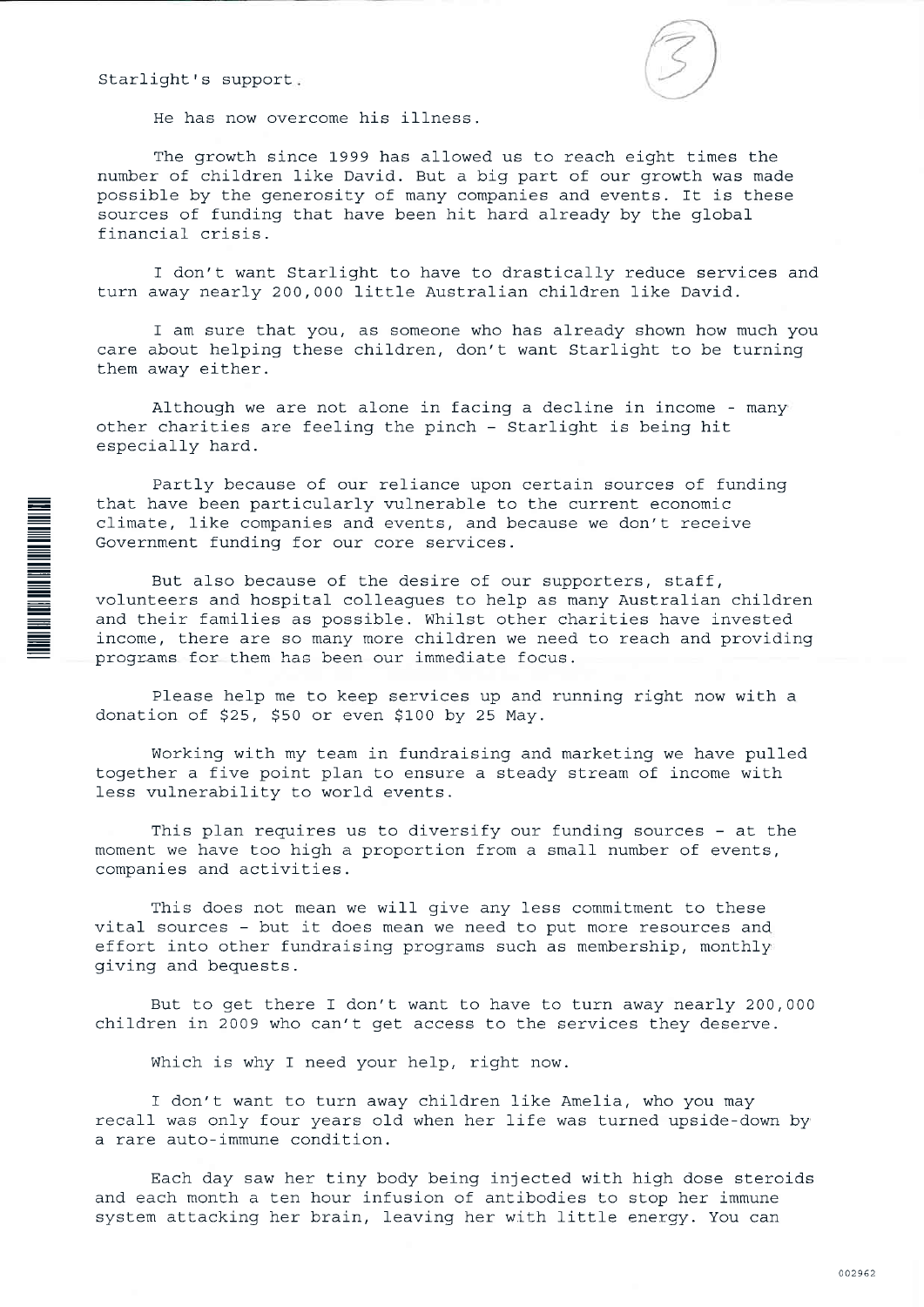Starlight's support

**TO AN AN AN AN AN AN AN AN AN AN AN AN AN** 



He has now overcome his illness.

The growth since 1999 has allowed us to reach eight times the number of children like David. But a big part of our growth was made possible by the generosity of many companies and events. It is these sources of funding that have been hit hard already by the global financial crisis.

I don't want Starlight to have to drastically reduce services and turn away nearly 200,000 little Australian children like David.

I am sure that you, as someone who has already shown how much you care about helping these children, don't want Starlight to be turning them away either.

Although we are not alone in facing a decline in income - many other charities are feeling the pinch - Starlight is being hit especially hard.

Partly because of our reliance upon certain sources of funding that have been particularly vulnerable to the current economic climate, like companies and events, and because we don't receive Government funding for our core services.

But also because of the desire of our supporters, staff, volunteers and hospital colleagues to help as many Australian children and their families as possible. Whilst other charities have invested income, there are so many more children we need to reach and providing programs for them has been our immediate focus.

Please help me to keep services up and running right now with a donation of \$25, \$50 or even \$100 by 25 May.

Working with my team in fundraising and marketing we have pulled together a five point plan to ensure a steady stream of income with less vulnerability to world events.

This plan requires us to diversify our funding sources - at the moment we have too high a proportion from a small number of events, companies and activities.

This does not mean we will give any less commitment to these vital sources - but it does mean we need to put more resources and effort into other fundraising programs such as membership, monthly giving and bequests.

But to get there I don't want to have to turn away nearly 200,000 children in 2009 who can't get access to the services they deserve.

Which is why I need your help, right now.

I don't want to turn away children like Amelia, who you may recall was only four years old when her life was turned upside-down by a rare auto-immune condition.

Each day saw her tiny body being injected with high dose steroids and each month a ten hour infusion of antibodies to stop her immune system attacking her brain, leaving her with little energy. You can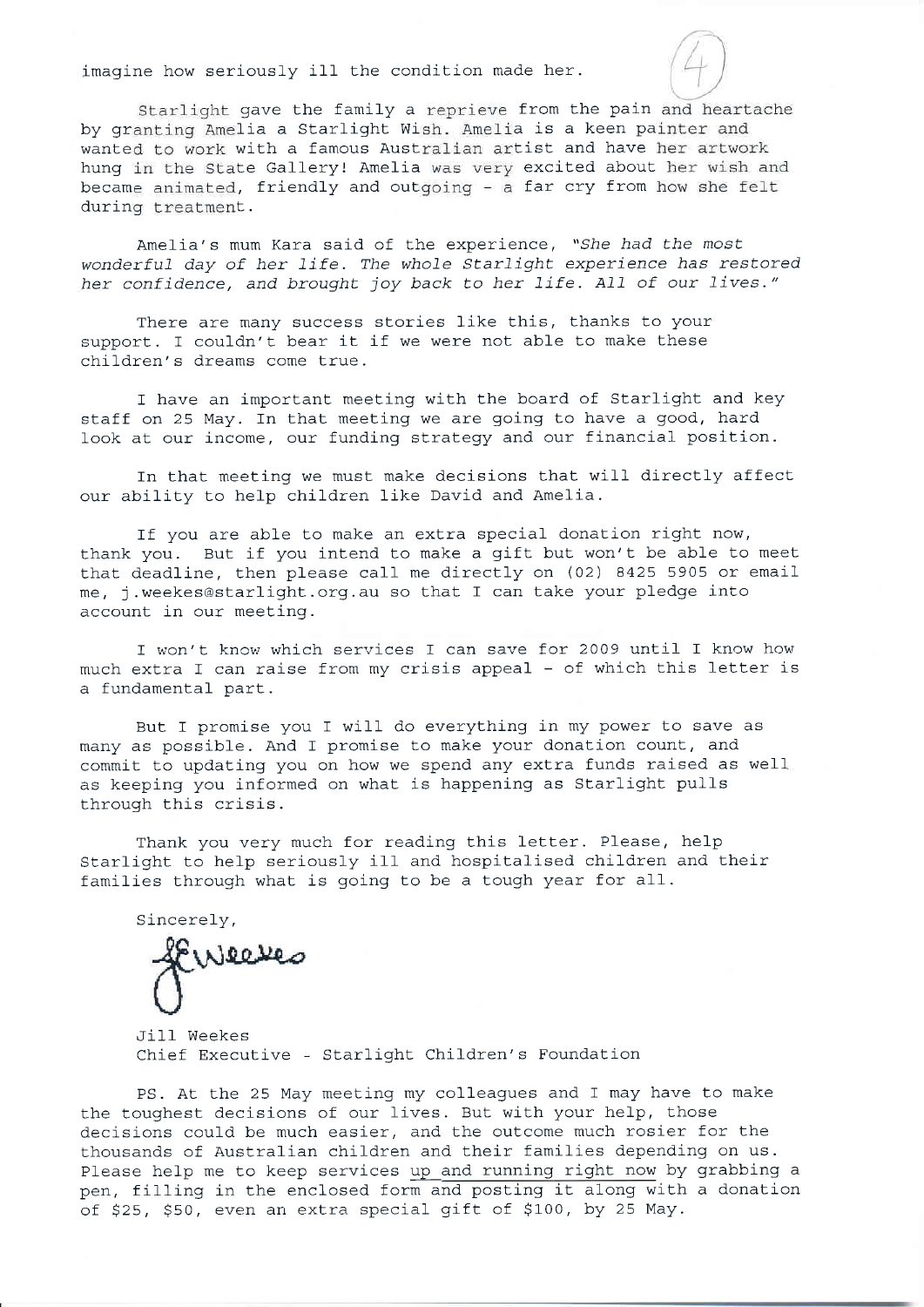imagine how seriously ill the condition made her.

Starlight gave the family a reprieve from the pain and heartache by granting Amelia a Starlight Wish. Amelia is a keen painter and wanted to work with a famous Australian artist and have her artwork hung in the State Gallery! Amelia was very excited about her wish and became animated, friendly and outgoing - a far cry from how she felt during treatment.

Amelia's mum Kara said of the experience, "She had the most wonderful day of her life. The whole Starlight experience has restored her confidence, and brought joy back to her life. All of our lives."

There are many success stories like this, thanks to your support. I couldn't bear it if we were not able to make these children's dreams come true.

I have an important meeting with the board of Starlight and key staff on 25 May. In that meeting we are going to have a good, hard look at our income, our funding strategy and our financial position.

In that meeting we must make decisions that will directly affect our ability to help children like David and Amelia.

If you are able to make an extra special donation right now, thank you. But if you intend to make a gift but won't be able to meet that deadline, then please call me directly on (02) 8425 5905 or email me, j.weekes@starlight.org.au so that I can take your pledge into account in our meeting.

I won't know which services I can save for 2009 until I know how much extra I can raise from my crisis appeal - of which this letter is a fundamental part.

But I promise you I will do everything in my power to save as many as possible. And I promise to make your donation count, and commit to updating you on how we spend any extra funds raised as well as keeping you informed on what is happening as Starlight pulls through this crisis.

Thank you very much for reading this letter. Please, help Starlight to help seriously ill and hospitalised children and their families through what is going to be a tough year for all.

Sincerely,

Jill Weekes Chief Executive  $\frac{1}{2}$  Starlight Children's Foundation

PS. At the 25 May meeting my colleagues and I may hawe to make the toughest decisions of our lives. But with your help, those decisions could be much easier, and the outcome much rosier for the thousands of Australian children and their families depending on us. Please help me to keep services up and running right now by grabbing a pen, filling in the enclosed form and posting it along with a donation of \$25, \$50, even an extra special gift of \$100, by 25 May.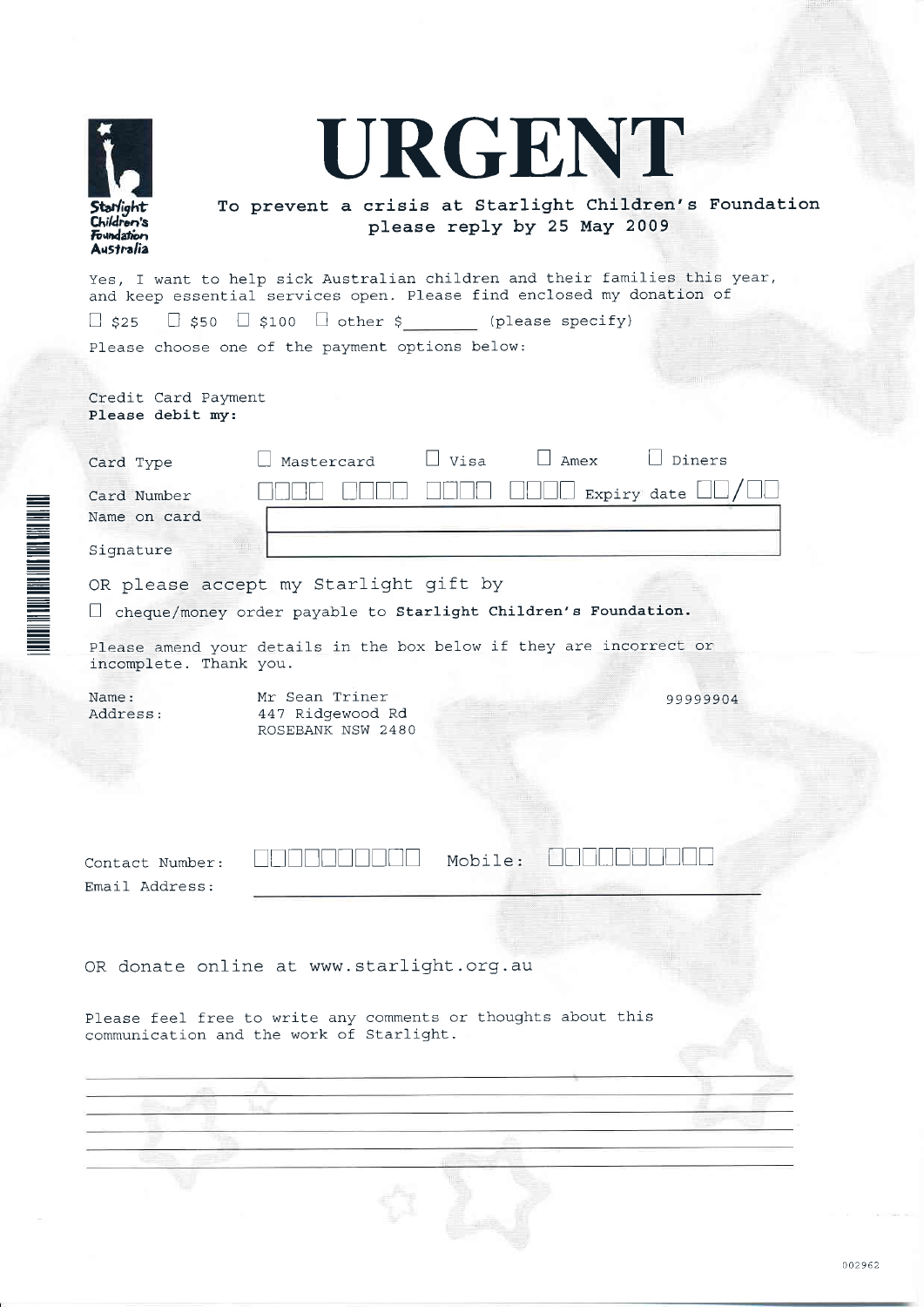|                                                    | URGENT                                                                                                                                                                                                                       |
|----------------------------------------------------|------------------------------------------------------------------------------------------------------------------------------------------------------------------------------------------------------------------------------|
| Starlight<br>Children's<br>Foundation<br>Australia | To prevent a crisis at Starlight Children's Foundation<br>please reply by 25 May 2009                                                                                                                                        |
|                                                    | Yes, I want to help sick Australian children and their families this year,<br>and keep essential services open. Please find enclosed my donation of<br>$\Box$ \$25 $\Box$ \$50 $\Box$ \$100 $\Box$ other \$ (please specify) |
|                                                    | Please choose one of the payment options below:                                                                                                                                                                              |
| Credit Card Payment<br>Please debit my:            |                                                                                                                                                                                                                              |
| Card Type<br>Card Number<br>Name on card           | $\Box$ Visa<br>$\Box$ Amex<br>$\Box$ Diners<br>Mastercard<br>$\mathrel{\mathop{\bigsqcup}}$ Expiry date $\mathrel{\mathop{\bigsqcup}}$                                                                                       |
| Signature                                          |                                                                                                                                                                                                                              |
|                                                    | OR please accept my Starlight gift by<br>$\Box$ cheque/money order payable to Starlight Children's Foundation.                                                                                                               |
|                                                    |                                                                                                                                                                                                                              |
| incomplete. Thank you.                             | Please amend your details in the box below if they are incorrect or                                                                                                                                                          |
| Name:<br>Address:                                  | Mr Sean Triner<br>99999904<br>447 Ridgewood Rd<br>ROSEBANK NSW 2480                                                                                                                                                          |
| Contact Number:                                    | Mobile:                                                                                                                                                                                                                      |
| Email Address:                                     |                                                                                                                                                                                                                              |
|                                                    | OR donate online at www.starlight.org.au                                                                                                                                                                                     |
|                                                    | Please feel free to write any comments or thoughts about this<br>communication and the work of Starlight.                                                                                                                    |
|                                                    |                                                                                                                                                                                                                              |
|                                                    |                                                                                                                                                                                                                              |
|                                                    |                                                                                                                                                                                                                              |
|                                                    |                                                                                                                                                                                                                              |
|                                                    |                                                                                                                                                                                                                              |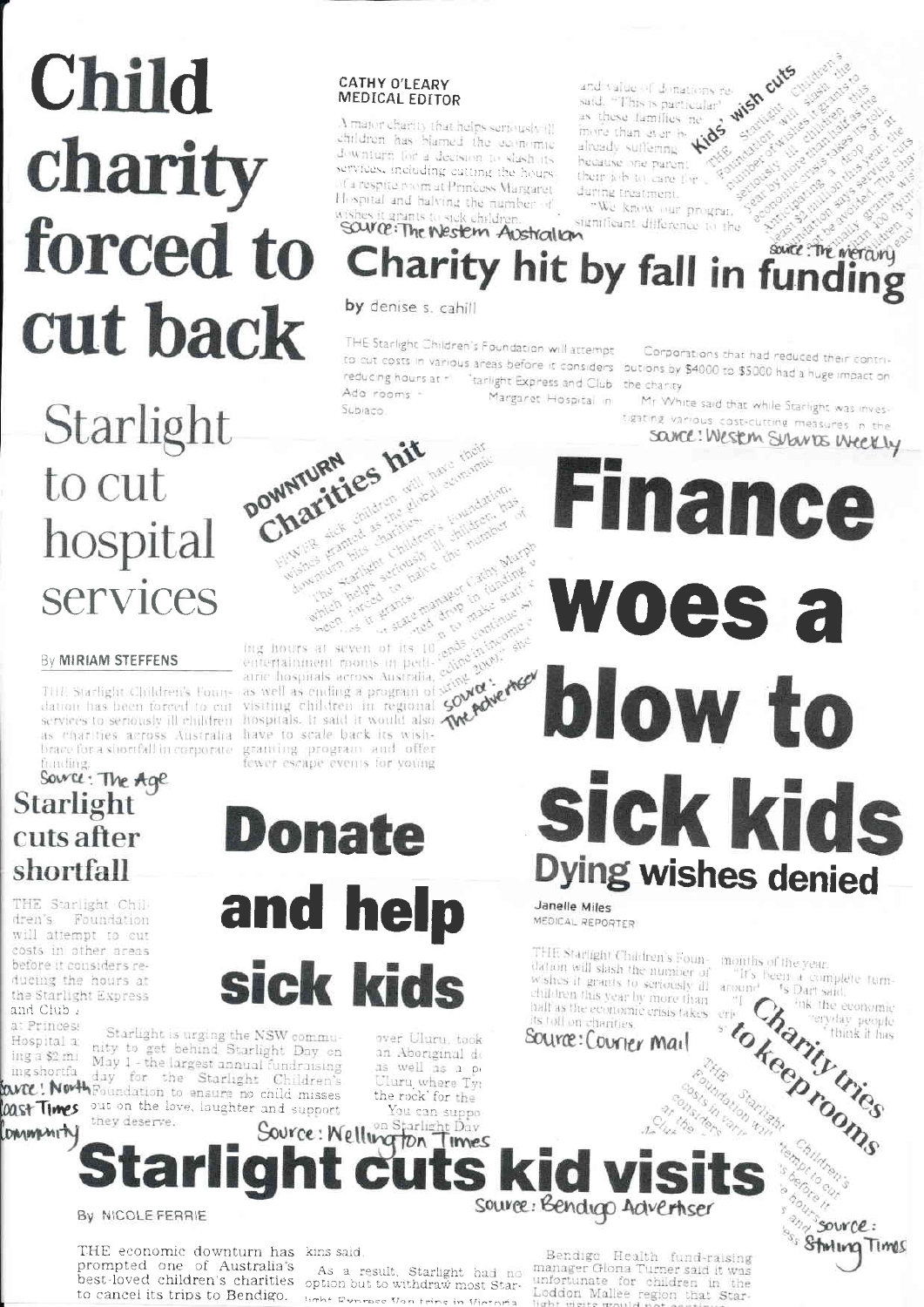# Child charity forced to cut back

## Starlight DOWNTURN to cut hospital services

#### By MIRIAM STEFFENS

THE Starlight Children's Foundation has been forced to cut services to seriously ill children brace for a shortfall in corporate fraufing

## Source: The Age Starlight cuts after shortfall

THE Starlight Children's Foundation will attempt to cut costs in other areas before it considers reducing the hours at the Starlight Express and Club.

a: Princess Hospital a: ing a \$2 mi ing shortfa

loast Times

DANNAMITY

Starlight is urging the NSW community to get behind Starlight Day on May 1 - the largest annual fundraising day for the Starlight Children's WICE! North Foundation to ensure no child misses out on the love, laughter and support

#### **CATHY O'LEARY** MEDICAL EDITOR

 $\Lambda$  major charity that helps seriously (ii children has blamed the communic downturn for a decision to slash its services, including eutting the hours d'a respite promat Princess Margaret Hospital and halving the number of hes it grants to sick children.

wish cuts WANTER CIN and value of donations resaid. "This is particular" as these families nealready suffering  $\mu$ hecause one parent their job to care for during treatment.

"We know our program significant difference to the

## source: The Nestern Australian source: The mercury Charity hit by fall in funding

by denise s. cahill

THE Starlight Children's Foundation will attempt to cut costs in various areas before it considers butions by \$4000 to \$5000 had a huge impact on reducing hours at "" "tarlight Express and Club" the charity Ado rooms -Margaret Hospital in Subraco. Charities hit

Foundation,

Corporations that had reduced their contri-

Mr White said that while Starlight was investigating various cost-cutting measures in the savel! Western Subwas Weekly

**Finance** 

woes a

blow to

sick kids

E. 10 a ray make start of France manager Cathy which helps seem in arants. entertainment rooms in peti-conde in income are losquias across Australia, existe public and a swell as ending a program of conde and a swell as ending a program of conde and a basis in hasold as uospitals across australia, edine applesis as well as ending a program of what will be a visiting children in more sisting children in regional South of strate the hospitals. It said it would also well as the charge of the fact that the charge of the fact the fact the fact the fact the fact that the fact the fact the fact that the fact as charities across Australia have to scale back its wishfewer escape events for voung

First like and the children which are then

Anti-Art Hitle Charlies William Harlight Children

Wishes Engine Children, will have more

Harliette Cityldrein's Linkflatering

**Donate** and help sick kids

> over Uluru, took an Aboriginal de as well as a pi Uluru where Ty: the rock' for the You can suppo

Dying wishes denied Janelle Miles MEDICAL REPORTER

THE Starlight Children's Foundation will slash the number of wishes it grants to seriously ill children this year by more than half as the economic crisis takes its toll on charities.

Source: Courter Mail

months of the year. Charity tries "It's heen a complete turntokeeprooms ink the economic "eryday people"<br>"think it has

strice Startight costs in var Starlight cuts ki Source: Bendigo Advertiser

> Bendigo Health fund-raising manager Glona Turner said it was unfortunate for children in the Loddon Mallee region that Stare would not annel.

empt to cut <sup>2017</sup> Source: <sup>3</sup> Starling Times

By NICOLE FERRIE

THE economic downturn has kins said prompted one of Australia's As a result. Starlight had no<br>best-loved children's charities option but to withdraw most Starto cancel its trips to Bendigo.

light Dunrace Van trine in Vint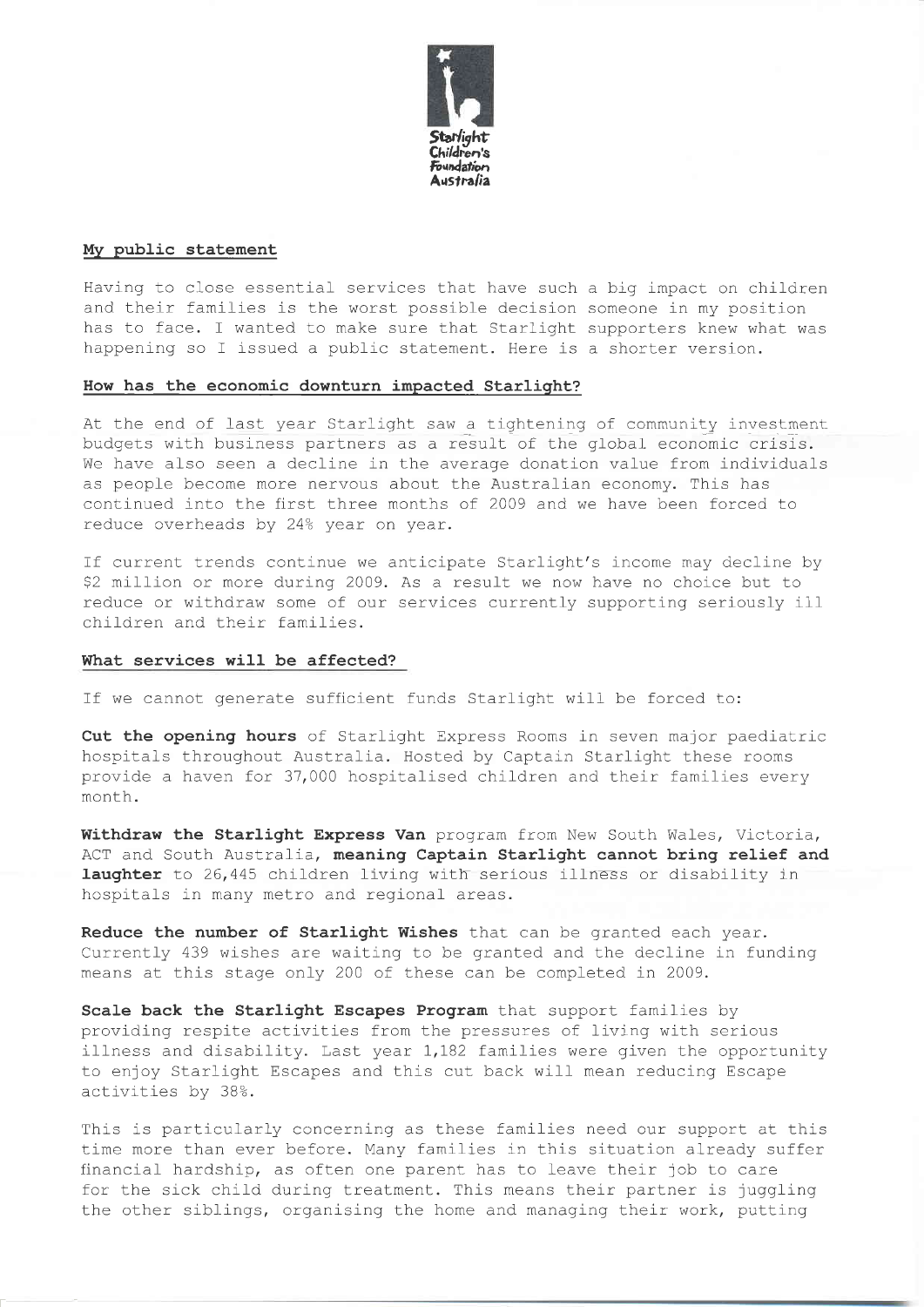

#### Mv public statement

Having to close essential services that have such a big impact on children and their famllies is the worst possible decision someone in my position has to face. I wanted to make sure that Starlight supporters knew what was happening so I issued a public statement. Here is a shorter version.

#### How has the economic downturn impacted Starlight?

At the end of last year Starlight saw a tightening of community investment budgets with business partners as a result of the global economic crisis. We have also seen a decline in the average donation value from individuals as people become more nervous about the Australian economy. This has continued into the first three months of 2009 and we have been forced to reduce overheads by 24% year on year.

If current trends continue we anticipate Starlight's income may decline by \$2 million or more during 2009. As a result we now have no choice but to reduce or withdraw some of our services currently supporting seriously ill children and their families.

#### What services will be affected?

If we cannot generate sufficient funds Starlight will be forced to:

Cut the opening hours of Starlight Express Rooms in seven major paediatric hospitals throughout Australia. Hosted by Captain Starlight these rooms provide a haven for 37,000 hospitalised children and their families every month.

Withdraw the Starlight Express Van program from New South Wales, Victoria, ACT and South Australia, meaning Captain Starlight cannot bring relief and laughter to 26,445 children living with serious illness or disability in hospitals in many metro and regional areas.

Reduce the number of Starlight Wishes that can be granted each year. Currently 439 wishes are waiting to be granted and the decline in funding means at this stage only 2OO of these can be completed in 2009.

Scale back the Starlight Escapes Program that support families by providing respite activities from the pressures of living with serious illness and disability. Last year 1,182 families were given the opportunity to enjoy Starlight Escapes and this cut back will mean reducing Escape activities by 38%.

This is particularly concerning as these families need our support at this time more than ever before. Many families in this situation already suffer financial hardship, as often one parent has to leave their job to care for the sick child during treatment. This means their partner is juggling the other siblings, orqanising the home and managing their work, putting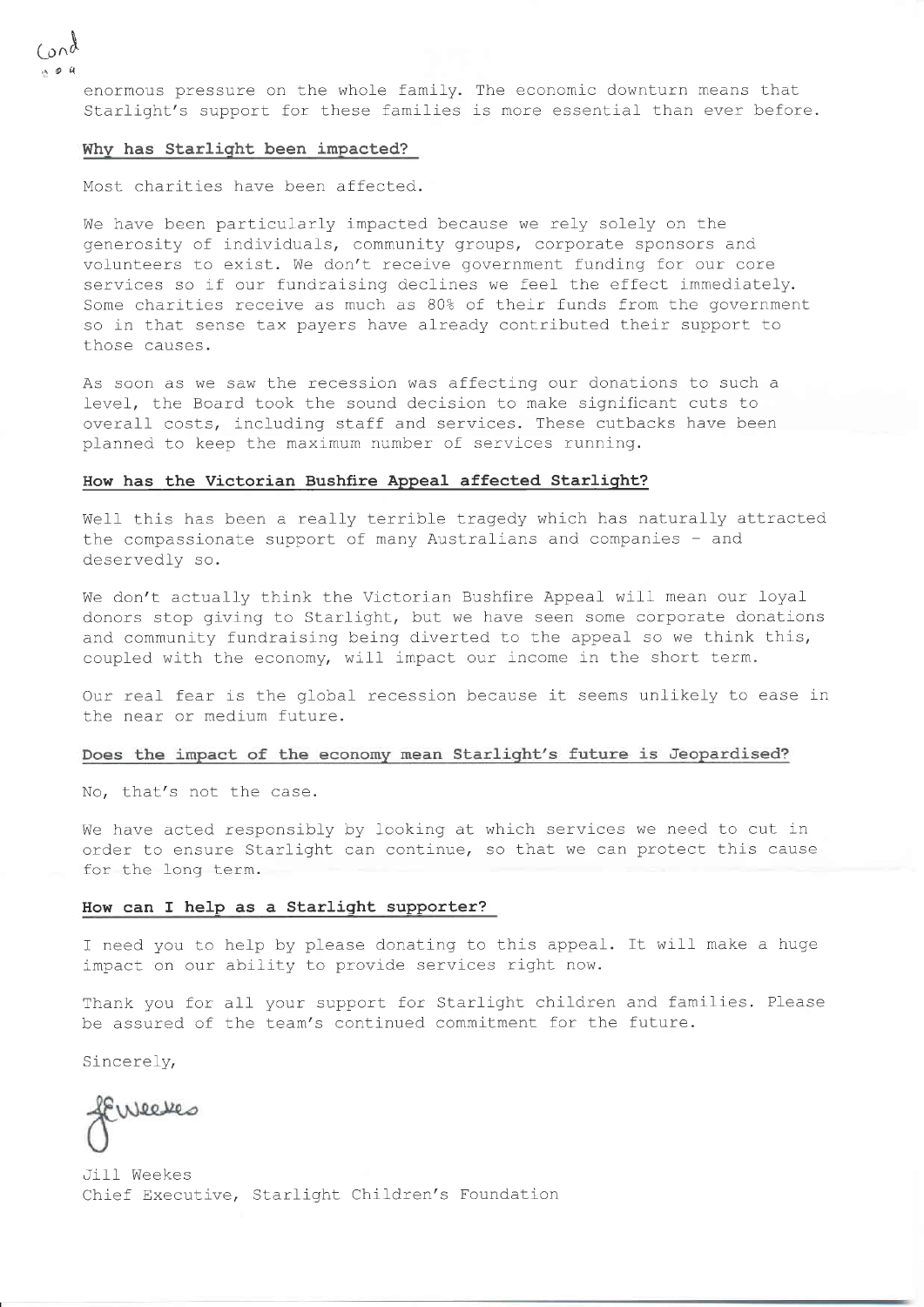enormous pressure on the whole family. The economic downturn means that Starlight's support for these families is more essential than ever before.

#### Whv has Starliqht been impacted?

Most charities have been affected.

We have been particularly impacted because we rely solely on the generosity of individuals, community groups, corporate sponsors and volunteers to exist. We don't receive government funding for our core services so if our fundraising declines we feel the effect immediately. Some charities receive as much as B0% of their funds from the government so in that sense tax payers have already contributed their support to those causes.

As soon as we saw the recession was affecting our donations to such a level, the Board took the sound decision to make significant cuts to overall costs, including staff and services. These cutbacks have been planned to keep the maximum number of services running.

#### How has the Victorian Bushfire Appeal affected Starlight?

Well this has been a really terrible tragedy which has naturally attracted the compassionate support of many Australians and companies - and deservedly so.

We don't actually think the Victorian Bushfire Appeal will mean our loyal donors stop giving to Starlight, but we have seen some corporate donations and community fundraising being diverted to the appeal so we think this, coupled with the economy, will impact our income in the short term.

Our real fear is the global recession because it seems unlikely to ease in the near or medium future.

#### Does the impact of the economy mean Starlight's future is Jeopardised?

No, that's not the case.

We have acted responsibly by looking at which services we need to cut in order to ensure Starlight can continue, so that we can protect this cause for the long term.

#### How can f help as a Starliqht supporter?

I need you to help by please donating to this appeal. It wilf make a huge impact on our ability to provide services right now.

Thank you for all your support for Starlight children and families. Please be assured of the team's continued commitment for the future.

Sincerely,

feweeves

Jill Weekes Chief Executive, Starlight Children's Foundation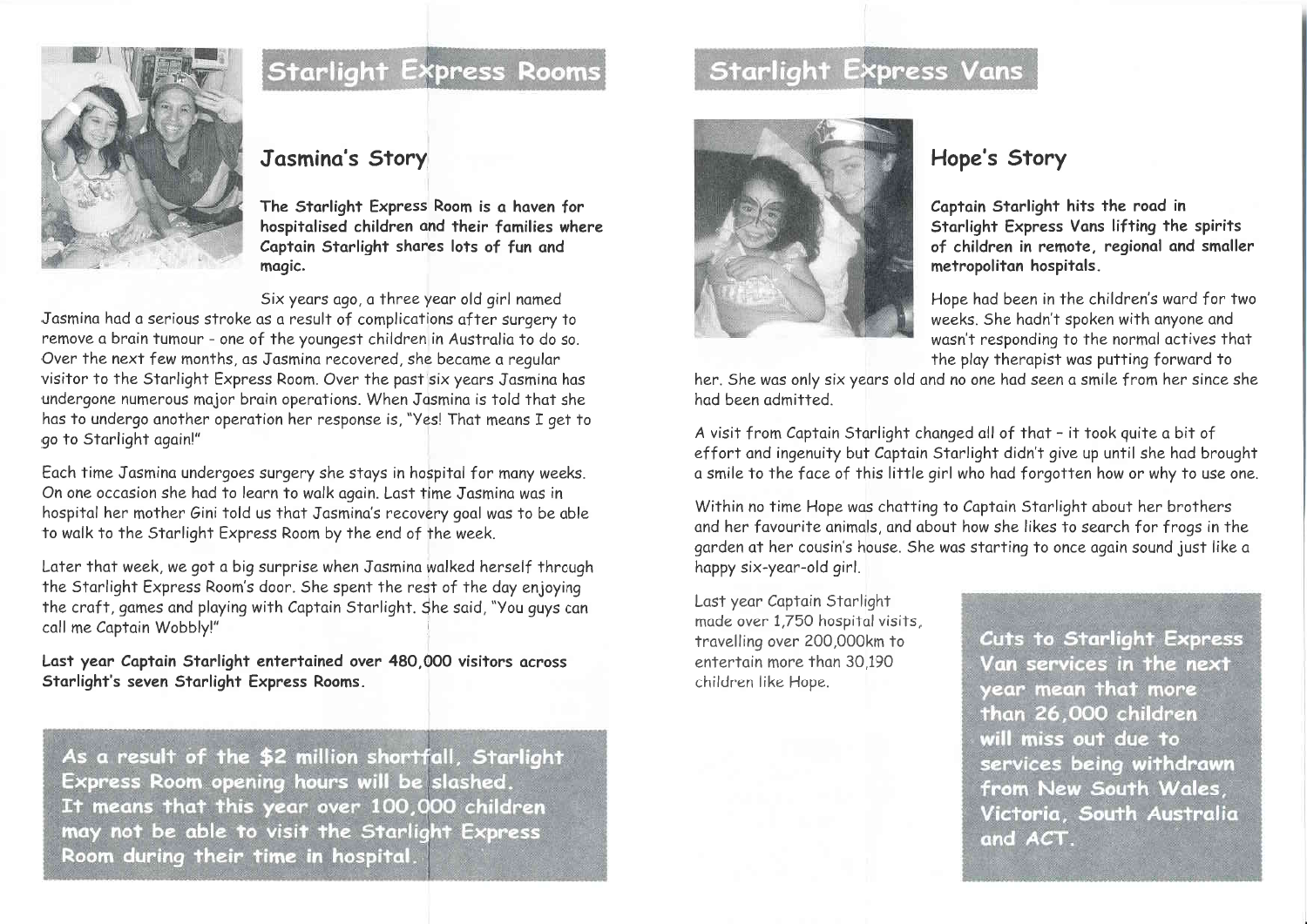

## **Starlight Express Rooms**

### Jasmina's Story

The Starlight Express Room is a haven for hospitalised children and their families where Captain Starlight shares lots of fun and magic.

Six years ago, a three year old girl named

Jasmina had a serious stroke as a result of complications after surgery to remove a brain tumour - one of the youngest children in Australia to do so. Over the next few months, as Jasmina recovered, she became a regular visitor to the Starlight Express Room. Over the past six years Jasmina has undergone numerous major brain operations. When Jasmina is told that she has to undergo another operation her response is, "Yes! That means I get to go to Starlight again!"

Each time Jasmina undergoes surgery she stays in hospital for many weeks. On one occasion she had to learn to walk again. Last time Jasmina was in hospital her mother Gini told us that Jasmina's recovery goal was to be able to walk to the Starlight Express Room by the end of the week.

Later that week, we got a big surprise when Jasmina walked herself through the Starlight Express Room's door. She spent the rest of the day enjoying the craft, games and playing with Captain Starlight. She said, "You guys can call me Captain Wobbly!"

Last year Captain Starlight entertained over 480,000 visitors across Starlight's seven Starlight Express Rooms.

As a result of the \$2 million shortfall, Starlight Express Room opening hours will be slashed. It means that this year over 100,000 children may not be able to visit the Starlight Express Room during their time in hospital.

## **Starlight Express Vans**



## Hope's Story

Captain Starlight hits the road in Starlight Express Vans lifting the spirits of children in remote, regional and smaller metropolitan hospitals.

Hope had been in the children's ward for two weeks. She hadn't spoken with anyone and wasn't responding to the normal actives that the play therapist was putting forward to

her. She was only six years old and no one had seen a smile from her since she had been admitted

A visit from Captain Starlight changed all of that - it took guite a bit of effort and ingenuity but Captain Starlight didn't give up until she had brought a smile to the face of this little girl who had forgotten how or why to use one.

Within no time Hope was chatting to Captain Starlight about her brothers and her favourite animals, and about how she likes to search for frogs in the garden at her cousin's house. She was starting to once again sound just like a happy six-year-old girl.

Last year Captain Starlight made over 1.750 hospital visits. travelling over 200,000km to entertain more than 30.190 children like Hope.

Cuts to Starlight Express Van services in the next year mean that more than 26,000 children will miss out due to services being withdrawn from New South Wales, Victoria, South Australia and ACT.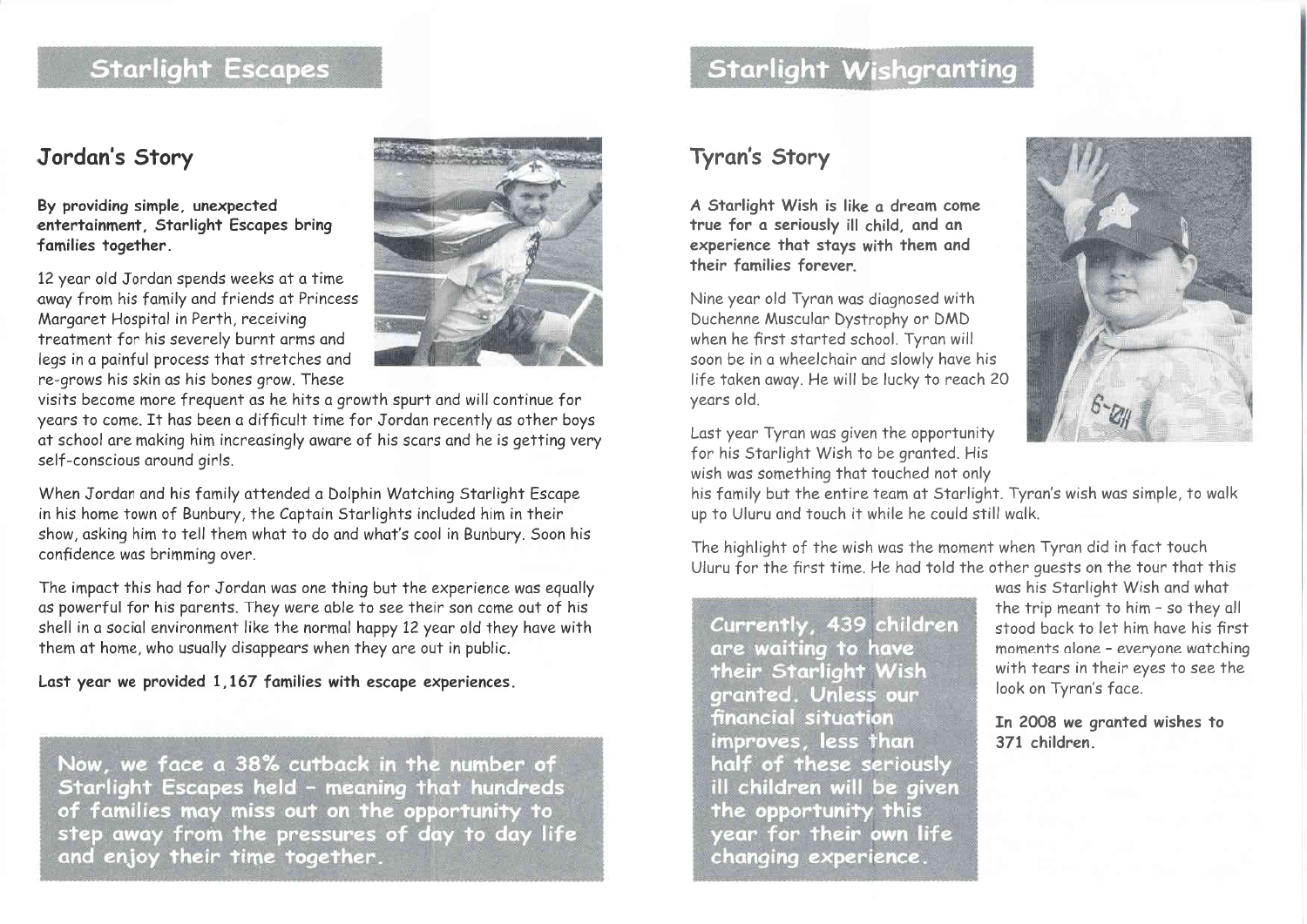## **Starlight Escapes**

#### Jordan's Story

#### By providing simple, unexpected entertainment. Starlight Escapes bring families together.

12 year old Jordan spends weeks at a time away from his family and friends at Princess Margaret Hospital in Perth, receiving treatment for his severely burnt arms and leas in a painful process that stretches and re-grows his skin as his bones grow. These



visits become more frequent as he hits a growth spurt and will continue for years to come. It has been a difficult time for Jordan recently as other boys at school are making him increasingly aware of his scars and he is getting very self-conscious around girls.

When Jordan and his family attended a Dolphin Watching Starlight Escape in his home town of Bunbury, the Captain Starlights included him in their show, asking him to tell them what to do and what's cool in Bunbury. Soon his confidence was brimming over.

The impact this had for Jordan was one thing but the experience was equally as powerful for his parents. They were able to see their son come out of his shell in a social environment like the normal happy 12 year old they have with them at home, who usually disappears when they are out in public.

Last year we provided 1,167 families with escape experiences.

Now, we face a 38% cutback in the number of Starlight Escapes held - meaning that hundreds of families may miss out on the opportunity to step away from the pressures of day to day life and enjoy their time together.

## **Starlight Wishgranting**

## Tyran's Story

A Starlight Wish is like a dream come true for a seriously ill child, and an experience that stays with them and their families forever

Nine year old Tyran was diagnosed with Duchenne Muscular Dystrophy or DMD when he first started school. Tyran will soon be in a wheelchair and slowly have his life taken away. He will be lucky to reach 20 years old.



Last year Tyran was given the opportunity for his Starlight Wish to be granted. His wish was something that touched not only

his family but the entire team at Starlight. Tyran's wish was simple, to walk up to Uluru and touch it while he could still walk.

The highlight of the wish was the moment when Tyran did in fact touch Uluru for the first time. He had told the other quests on the tour that this

Currently, 439 children are waiting to have their Starlight Wish granted. Unless our financial situation improves, less than half of these seriously ill children will be given the opportunity this year for their own life changing experience.

was his Starlight Wish and what the trip meant to him - so they all stood back to let him have his first moments alone - everyone watching with tears in their eyes to see the look on Tyran's face.

In 2008 we granted wishes to 371 children.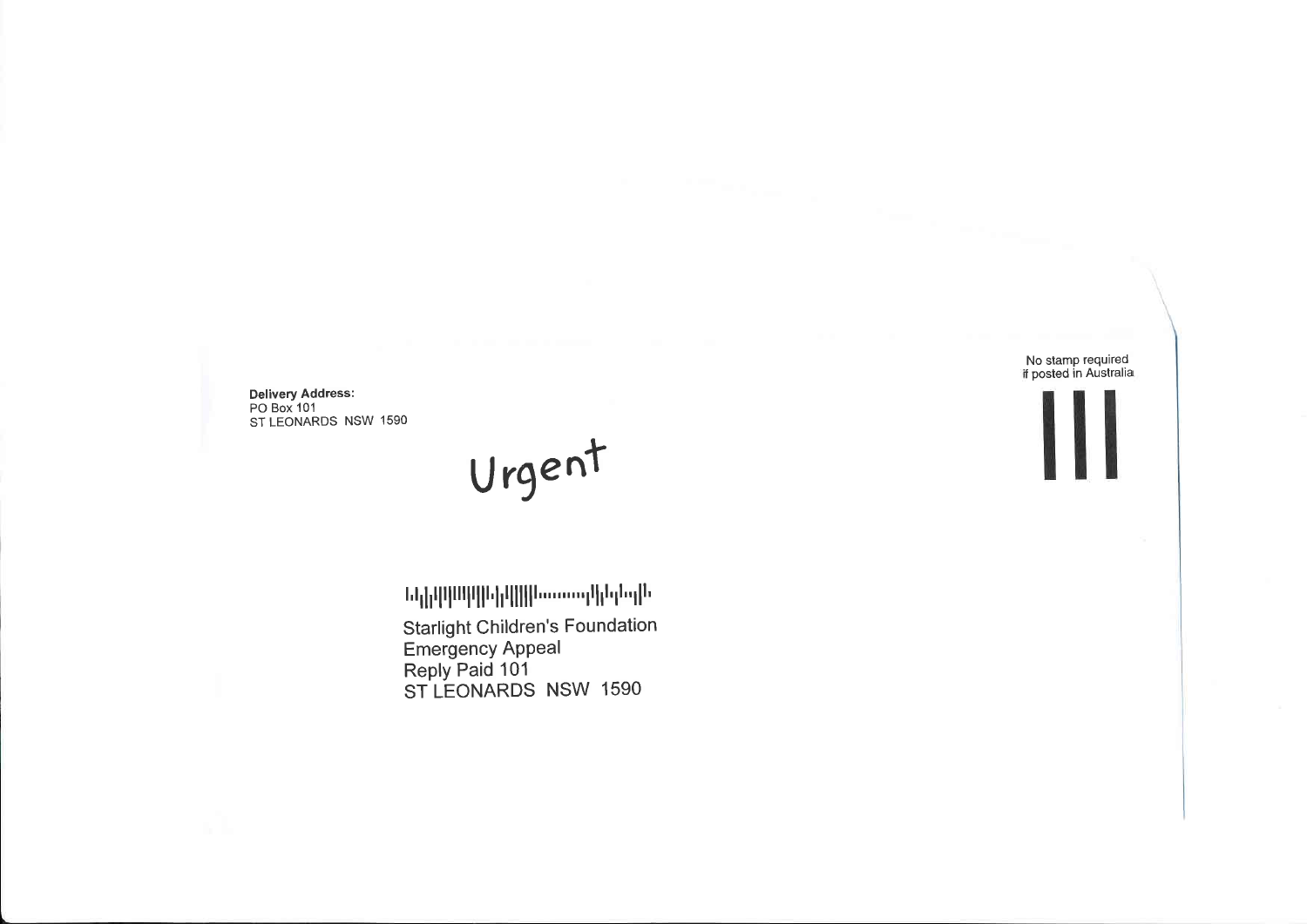Delivery Address:<br>PO Box 101 ST LEONARDS NSW 1590

Urgent

**Նկիրարիկանի համարերվա**ն **Starlight Children's Foundation** Emergency Appeal<br>Reply Paid 101<br>ST LEONARDS NSW 1590

No stamp required<br>if posted in Australia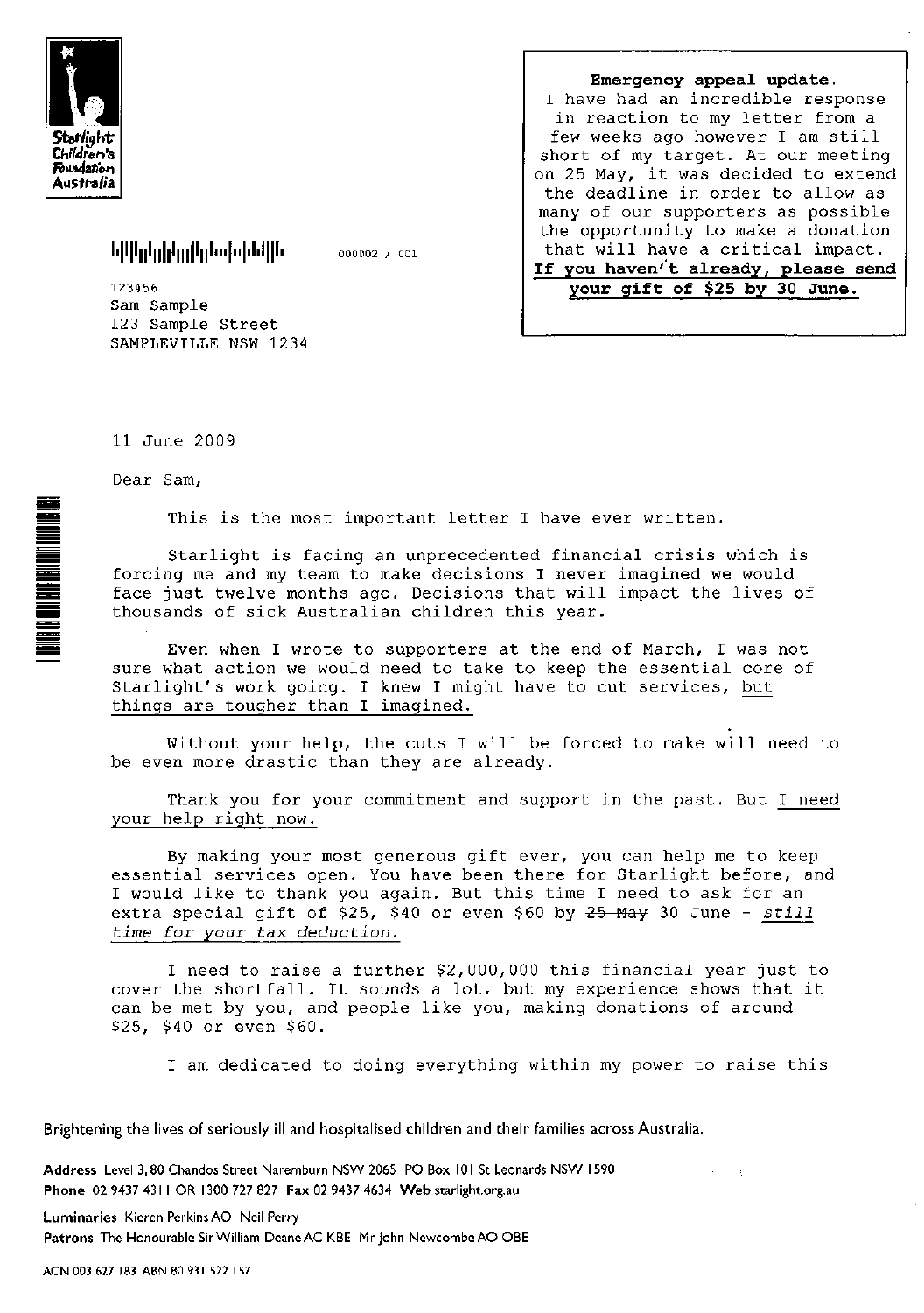

իվկերի<sub>ն</sub>երին կանություններին

000002 / 001

123456 Sam Sample 123 Sample Street SAMPLEVILLE NSW 1234

| Emergency appeal update.            |
|-------------------------------------|
| I have had an incredible response   |
| in reaction to my letter from a     |
| few weeks ago however I am still    |
| short of my target. At our meeting  |
| on 25 May, it was decided to extend |
| the deadline in order to allow as   |
| many of our supporters as possible  |
| the opportunity to make a donation  |
| that will have a critical impact.   |
| If you haven't already, please send |
| your gift of \$25 by 30 June.       |
|                                     |

11 June 2009

Dear Sam,

**TERRATA NEGRADA EN EN ENGANGADO EL SUBARCATA EL EL SUBARCATA EL EL SUBARCATA EL EL SUBARCATA EL EL SUBARCATA E** 

This is the most important letter I have ever written.

Starlight is facing an unprecedented financial crisis which is forcing me and my team to make decisions I never imagined we would face just twelve months ago. Decisions that will impact the lives of thousands of sick Australian children this year.

Even when I wrote to supporters at the end of March, I was not sure what action we would need to take to keep the essential core of Starlight's work going. I knew I might have to cut services, but things are tougher than I imagined.

Without your help, the cuts I will be forced to make will need to be even more drastic than they are already.

Thank you for your commitment and support in the past. But I need your help right now.

By making your most generous gift ever, you can help me to keep essential services open. You have been there for Starlight before, and I would like to thank you again. But this time I need to ask for an extra special gift of \$25, \$40 or even \$60 by 25 May 30 June - still time for your tax deduction.

I need to raise a further \$2,000,000 this financial year just to cover the shortfall. It sounds a lot, but my experience shows that it can be met by you, and people like you, making donations of around \$25, \$40 or even \$60.

I am dedicated to doing everything within my power to raise this

Brightening the lives of seriously ill and hospitalised children and their families across Australia.

Address Level 3, 80 Chandos Street Naremburn NSW 2065 PO Box 101 St Leonards NSW 1590 Phone 02 9437 4311 OR 1300 727 827 Fax 02 9437 4634 Web starlight.org.au

Luminaries Kieren Perkins AO Neil Perry Patrons The Honourable Sir William Deane AC KBE Mr john Newcombe AO OBE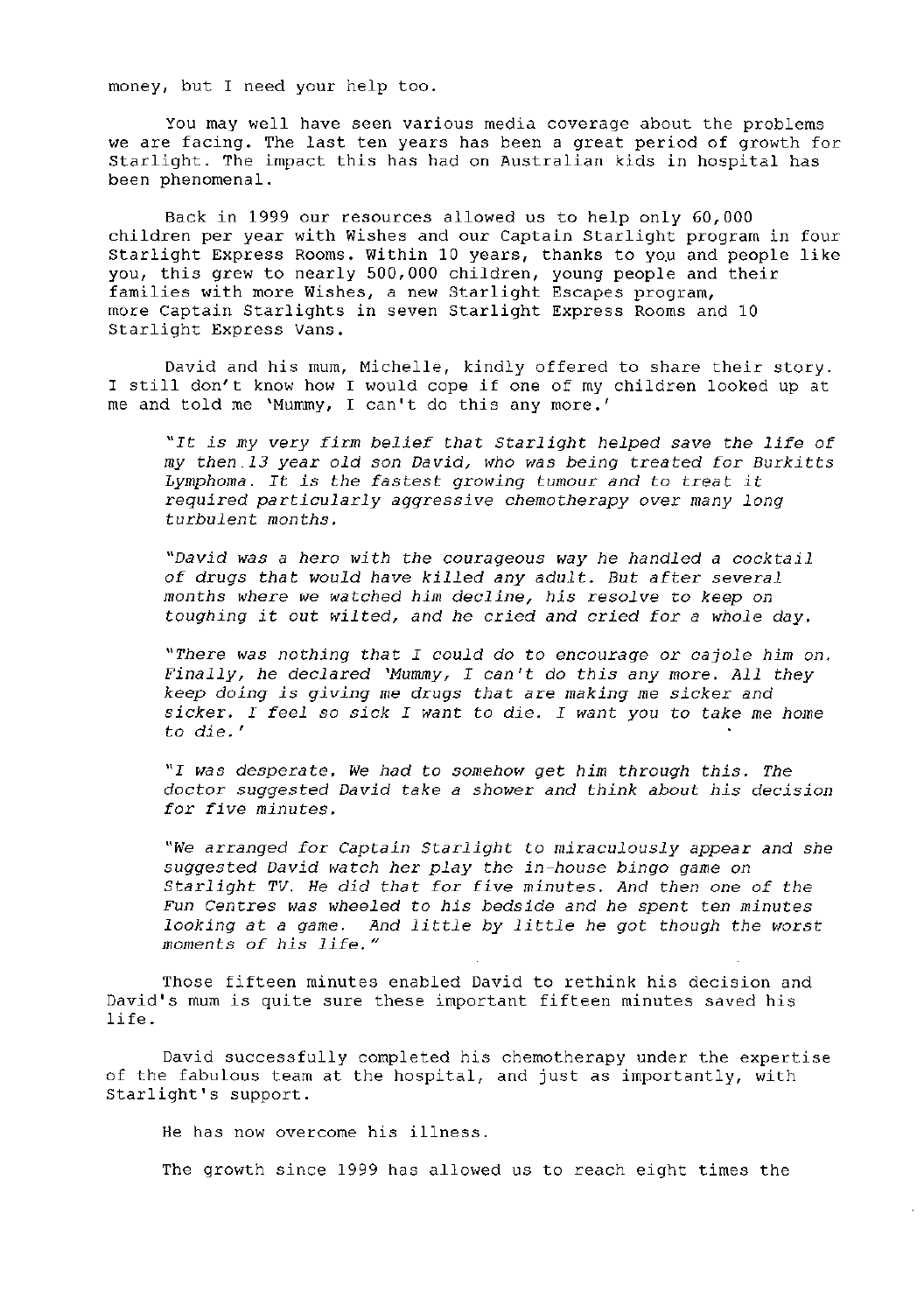money, but I need your help too.

You may well have seen various media coverage about the problems we are facing. The last ten years has been a great period of growth for Starlight. The impact this has had on Australian kids in hospital has been phenomenal.

Back in 1999 our resources allowed us to help only 60,000 children per year with Wishes and our Captain Starlight program in four Starlight Express Rooms. Within 10 years, thanks to you and people like you, this grew to nearly 500,000 children, young people and their families with more Wishes, a new Starlight Escapes program, more Captain Starlights in seven Starlight Express Rooms and 10 Starlight Express Vans.

David and his mum, Michelle, kindly offered to share their story. I still don't know how I would cope if one of my children looked up at me and told me 'Mummy, I can't do this any more.'

"It is my very firm belief that Starlight helped save the life of my then 13 year old son David, who was being treated for Burkitts Lymphoma. It is the fastest growing tumour and to treat it required particularly aggressive chemotherapy over many long turbulent months.

"David was a hero with the courageous way he handled a cocktail of drugs that would have killed any adult. But after several months where we watched him decline, his resolve to keep on toughing it out wilted, and he cried and cried for a whole day.

"There was nothing that I could do to encourage or cajole him on. Finally, he declared 'Mummy, I can't do this any more. All they keep doing is giving me drugs that are making me sicker and sicker. I feel so sick I want to die. I want you to take me home to die.'

"I was desperate. We had to somehow get him through this. The doctor suggested David take a shower and think about his decision for five minutes.

"We arranged for Captain Starlight to miraculously appear and she suggested David watch her play the in-house bingo game on Starlight TV. He did that for five minutes. And then one of the Fun Centres was wheeled to his bedside and he spent ten minutes looking at a game. And little by little he got though the worst moments of his life."

Those fifteen minutes enabled David to rethink his decision and David's mum is quite sure these important fifteen minutes saved his life.

David successfully completed his chemotherapy under the expertise of the fabulous team at the hospital, and just as importantly, with Starlight's support.

He has now overcome his illness.

The growth since 1999 has allowed us to reach eight times the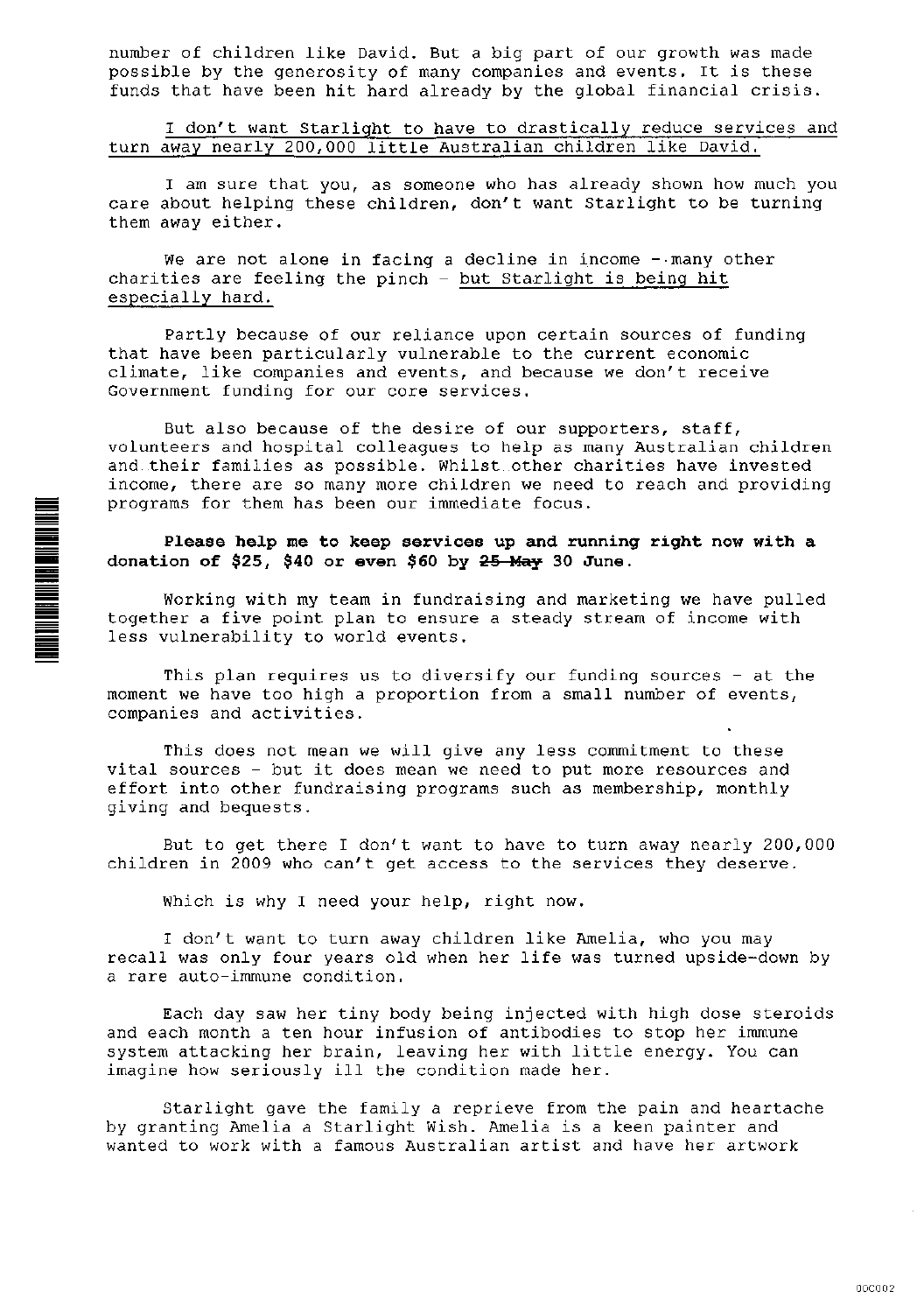number of children like David. But a big part of our growth was made possible by the generosity of many companies and events. It is these funds that have been hit hard already by the global financial crisis.

I don't want Starlight to have to drastically reduce services and turn away nearly 200,000 little Australian children like David.

I am sure that you, as someone who has already shown how much you care about helping these children, don't want Starlight to be turning them away either.

We are not alone in facing a decline in income - many other charities are feeling the pinch - but Starlight is being hit especially hard.

Partly because of our reliance upon certain sources of funding that have been particularly vulnerable to the current economic climate, like companies and events, and because we don't receive Government funding for our core services.

But also because of the desire of our supporters, staff, volunteers and hospital colleagues to help as many Australian children and their families as possible. Whilst other charities have invested income, there are so many more children we need to reach and providing programs for them has been our immediate focus.

#### Please help me to keep services up and running right now with a donation of \$25, \$40 or even \$60 by 25 May 30 June.

Working with my team in fundraising and marketing we have pulled together a five point plan to ensure a steady stream of income with less vulnerability to world events.

This plan requires us to diversify our funding sources - at the moment we have too high a proportion from a small number of events, companies and activities.

This does not mean we will give any less commitment to these vital sources - but it does mean we need to put more resources and effort into other fundraising programs such as membership, monthly giving and bequests.

But to get there I don't want to have to turn away nearly 200,000 children in 2009 who can't get access to the services they deserve.

Which is why I need your help, right now.

**TAN JI WA NA WA NA WA NA WA NA WA NA WA NA WA NA WA NA WA NA WA NA WA NA WA NA WA NA WA NA WA NA WA NA WA NA W** 

I don't want to turn away children like Amelia, who you may recall was only four years old when her life was turned upside-down by a rare auto-immune condition.

Each day saw her tiny body being injected with high dose steroids and each month a ten hour infusion of antibodies to stop her immune system attacking her brain, leaving her with little energy. You can imagine how seriously ill the condition made her.

Starlight gave the family a reprieve from the pain and heartache by granting Amelia a Starlight Wish. Amelia is a keen painter and wanted to work with a famous Australian artist and have her artwork

000002